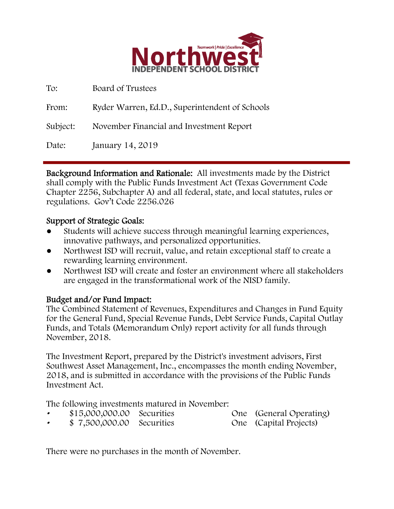

| To:      | Board of Trustees                              |
|----------|------------------------------------------------|
| From:    | Ryder Warren, Ed.D., Superintendent of Schools |
| Subject: | November Financial and Investment Report       |
| Date:    | January 14, 2019                               |

Background Information and Rationale: All investments made by the District shall comply with the Public Funds Investment Act (Texas Government Code Chapter 2256, Subchapter A) and all federal, state, and local statutes, rules or regulations. Gov't Code 2256.026

## Support of Strategic Goals:

- Students will achieve success through meaningful learning experiences, innovative pathways, and personalized opportunities.
- Northwest ISD will recruit, value, and retain exceptional staff to create a rewarding learning environment.
- Northwest ISD will create and foster an environment where all stakeholders are engaged in the transformational work of the NISD family.

# Budget and/or Fund Impact:

The Combined Statement of Revenues, Expenditures and Changes in Fund Equity for the General Fund, Special Revenue Funds, Debt Service Funds, Capital Outlay Funds, and Totals (Memorandum Only) report activity for all funds through November, 2018.

The Investment Report, prepared by the District's investment advisors, First Southwest Asset Management, Inc., encompasses the month ending November, 2018, and is submitted in accordance with the provisions of the Public Funds Investment Act.

The following investments matured in November:

- \$15,000,000.00 Securities One (General Operating)
- \$ 7,500,000.00 Securities One (Capital Projects)

There were no purchases in the month of November.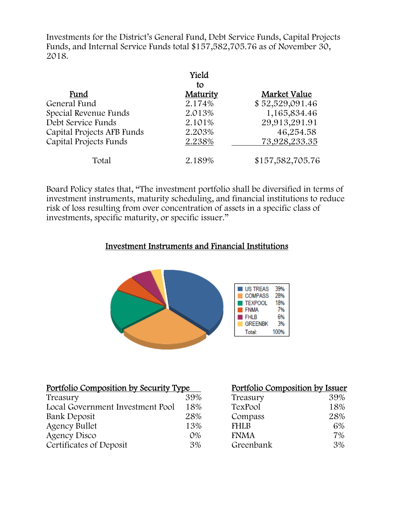Investments for the District's General Fund, Debt Service Funds, Capital Projects Funds, and Internal Service Funds total \$157,582,705.76 as of November 30, 2018.

|                            | Yield    |                  |
|----------------------------|----------|------------------|
|                            | to       |                  |
| Fund                       | Maturity | Market Value     |
| General Fund               | 2.174%   | \$52,529,091.46  |
| Special Revenue Funds      | 2.013%   | 1,165,834.46     |
| Debt Service Funds         | 2.101%   | 29,913,291.91    |
| Capital Projects AFB Funds | 2.203%   | 46,254.58        |
| Capital Projects Funds     | 2.238%   | 73,928,233.35    |
| Total                      | 2.189%   | \$157,582,705.76 |

Board Policy states that, "The investment portfolio shall be diversified in terms of investment instruments, maturity scheduling, and financial institutions to reduce risk of loss resulting from over concentration of assets in a specific class of investments, specific maturity, or specific issuer."

## Investment Instruments and Financial Institutions



| <u>Portfolio Composition by Security Type</u> | Portfolio Composition by Issuer |             |     |
|-----------------------------------------------|---------------------------------|-------------|-----|
| Treasury                                      | 39%                             | Treasury    | 39% |
| Local Government Investment Pool              | 18%                             | TexPool     | 18% |
| Bank Deposit                                  | 28%                             | Compass     | 28% |
| <b>Agency Bullet</b>                          | 13%                             | <b>FHLB</b> | 6%  |
| Agency Disco                                  | $O\%$                           | <b>FNMA</b> | 7%  |
| Certificates of Deposit                       | 3%                              | Greenbank   | 3%  |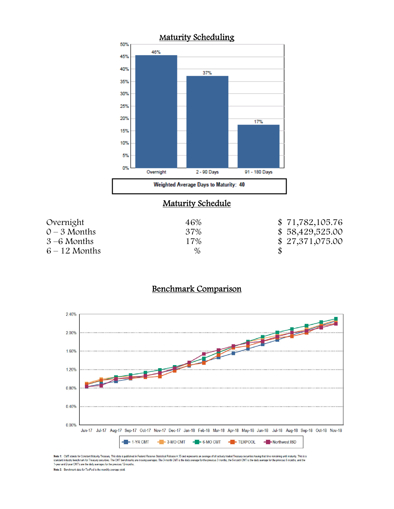

## **Maturity Schedule**

| Overnight       | 46%  | \$71,782,105.76 |
|-----------------|------|-----------------|
| $0 - 3$ Months  | 37%  | \$58,429,525.00 |
| $3-6$ Months    | 17%  | \$27,371,075.00 |
| $6 - 12$ Months | $\%$ |                 |

## Benchmark Comparison



Note 1: CMT stands for Constant Maturity Treasury. This data is published in Federal Reserve Statistical Release H.15 and represents an average of all actively traded Treasury securities having that time remaining until ma Note 2: Benchmark data for TexPool is the monthly average yield.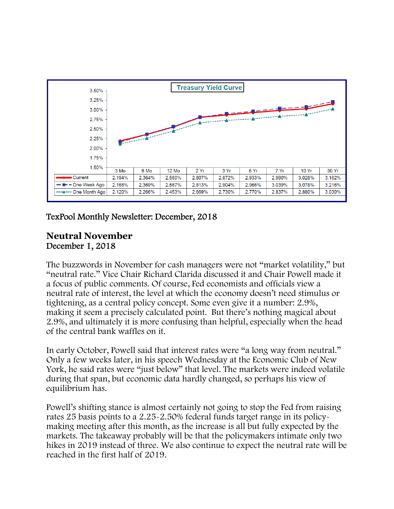

# TexPool Monthly Newsletter: December, 2018

#### **Neutral November** December 1, 2018

The buzzwords in November for cash managers were not "market volatility," but "neutral rate." Vice Chair Richard Clarida discussed it and Chair Powell made it a focus of public comments. Of course, Fed economists and officials view a neutral rate of interest, the level at which the economy doesn't need stimulus or tightening, as a central policy concept. Some even give it a number: 2.9%, making it seem a precisely calculated point. But there's nothing magical about 2.9%, and ultimately it is more confusing than helpful, especially when the head of the central bank waffles on it.

In early October, Powell said that interest rates were "a long way from neutral." Only a few weeks later, in his speech Wednesday at the Economic Club of New York, he said rates were "just below" that level. The markets were indeed volatile during that span, but economic data hardly changed, so perhaps his view of equilibrium has.

Powell's shifting stance is almost certainly not going to stop the Fed from raising rates 25 basis points to a 2.25-2.50% federal funds target range in its policymaking meeting after this month, as the increase is all but fully expected by the markets. The takeaway probably will be that the policymakers intimate only two hikes in 2019 instead of three. We also continue to expect the neutral rate will be reached in the first half of 2019.